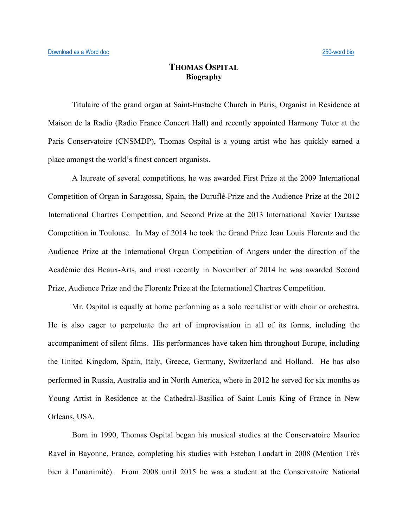## **THOMAS OSPITAL Biography**

Titulaire of the grand organ at Saint-Eustache Church in Paris, Organist in Residence at Maison de la Radio (Radio France Concert Hall) and recently appointed Harmony Tutor at the Paris Conservatoire (CNSMDP), Thomas Ospital is a young artist who has quickly earned a place amongst the world's finest concert organists.

A laureate of several competitions, he was awarded First Prize at the 2009 International Competition of Organ in Saragossa, Spain, the Duruflé-Prize and the Audience Prize at the 2012 International Chartres Competition, and Second Prize at the 2013 International Xavier Darasse Competition in Toulouse. In May of 2014 he took the Grand Prize Jean Louis Florentz and the Audience Prize at the International Organ Competition of Angers under the direction of the Académie des Beaux-Arts, and most recently in November of 2014 he was awarded Second Prize, Audience Prize and the Florentz Prize at the International Chartres Competition.

Mr. Ospital is equally at home performing as a solo recitalist or with choir or orchestra. He is also eager to perpetuate the art of improvisation in all of its forms, including the accompaniment of silent films. His performances have taken him throughout Europe, including the United Kingdom, Spain, Italy, Greece, Germany, Switzerland and Holland. He has also performed in Russia, Australia and in North America, where in 2012 he served for six months as Young Artist in Residence at the Cathedral-Basilica of Saint Louis King of France in New Orleans, USA.

Born in 1990, Thomas Ospital began his musical studies at the Conservatoire Maurice Ravel in Bayonne, France, completing his studies with Esteban Landart in 2008 (Mention Très bien à l'unanimité). From 2008 until 2015 he was a student at the Conservatoire National